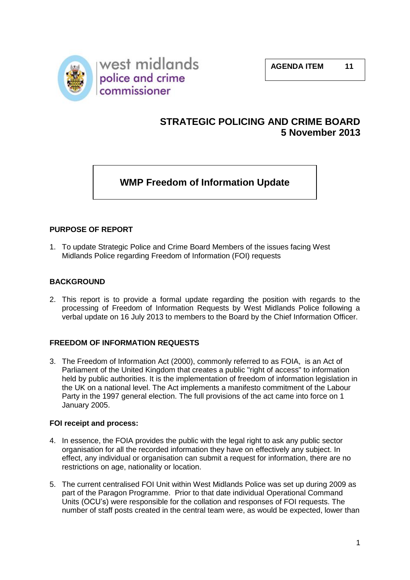

### **STRATEGIC POLICING AND CRIME BOARD 5 November 2013**

## **WMP Freedom of Information Update**

#### **PURPOSE OF REPORT**

1. To update Strategic Police and Crime Board Members of the issues facing West Midlands Police regarding Freedom of Information (FOI) requests

#### **BACKGROUND**

2. This report is to provide a formal update regarding the position with regards to the processing of Freedom of Information Requests by West Midlands Police following a verbal update on 16 July 2013 to members to the Board by the Chief Information Officer.

#### **FREEDOM OF INFORMATION REQUESTS**

3. The Freedom of Information Act (2000), commonly referred to as FOIA, is an Act of Parliament of the United Kingdom that creates a public "right of access" to information held by public authorities. It is the implementation of freedom of information legislation in the UK on a national level. The Act implements a manifesto commitment of the Labour Party in the 1997 general election. The full provisions of the act came into force on 1 January 2005.

#### **FOI receipt and process:**

- 4. In essence, the FOIA provides the public with the legal right to ask any public sector organisation for all the recorded information they have on effectively any subject. In effect, any individual or organisation can submit a request for information, there are no restrictions on age, nationality or location.
- 5. The current centralised FOI Unit within West Midlands Police was set up during 2009 as part of the Paragon Programme. Prior to that date individual Operational Command Units (OCU's) were responsible for the collation and responses of FOI requests. The number of staff posts created in the central team were, as would be expected, lower than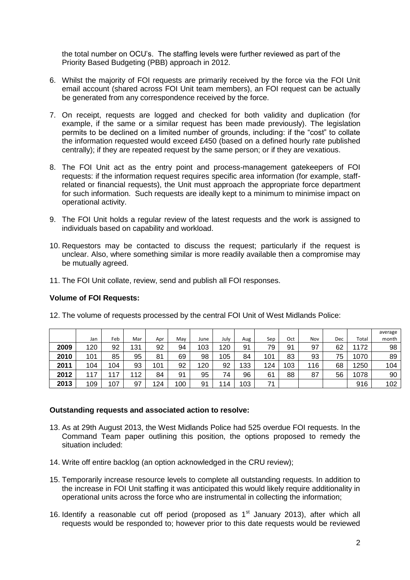the total number on OCU's. The staffing levels were further reviewed as part of the Priority Based Budgeting (PBB) approach in 2012.

- 6. Whilst the majority of FOI requests are primarily received by the force via the FOI Unit email account (shared across FOI Unit team members), an FOI request can be actually be generated from any correspondence received by the force.
- 7. On receipt, requests are logged and checked for both validity and duplication (for example, if the same or a similar request has been made previously). The legislation permits to be declined on a limited number of grounds, including: if the "cost" to collate the information requested would exceed £450 (based on a defined hourly rate published centrally); if they are repeated request by the same person; or if they are vexatious.
- 8. The FOI Unit act as the entry point and process-management gatekeepers of FOI requests: if the information request requires specific area information (for example, staffrelated or financial requests), the Unit must approach the appropriate force department for such information. Such requests are ideally kept to a minimum to minimise impact on operational activity.
- 9. The FOI Unit holds a regular review of the latest requests and the work is assigned to individuals based on capability and workload.
- 10. Requestors may be contacted to discuss the request; particularly if the request is unclear. Also, where something similar is more readily available then a compromise may be mutually agreed.
- 11. The FOI Unit collate, review, send and publish all FOI responses.

#### **Volume of FOI Requests:**

|      |     |         |     |     |     |      |      |     |     |     |     |     |       | average |
|------|-----|---------|-----|-----|-----|------|------|-----|-----|-----|-----|-----|-------|---------|
|      | Jan | Feb     | Mar | Apr | Mav | June | July | Aug | Sep | Oct | Nov | Dec | Total | month   |
| 2009 | 120 | 92      | 131 | 92  | 94  | 103  | 120  | 91  | 79  | 91  | 97  | 62  | 1172  | 98      |
| 2010 | 101 | 85      | 95  | 81  | 69  | 98   | 105  | 84  | 101 | 83  | 93  | 75  | 1070  | 89      |
| 2011 | 104 | 104     | 93  | 101 | 92  | 120  | 92   | 133 | 124 | 103 | 116 | 68  | 1250  | 104     |
| 2012 | ⇁   | 11<br>7 | 112 | 84  | 91  | 95   | 74   | 96  | 61  | 88  | 87  | 56  | 1078  | 90      |
| 2013 | 109 | 107     | 97  | 124 | 100 | 91   | 114  | 103 | 71  |     |     |     | 916   | 102     |

12. The volume of requests processed by the central FOI Unit of West Midlands Police:

#### **Outstanding requests and associated action to resolve:**

- 13. As at 29th August 2013, the West Midlands Police had 525 overdue FOI requests. In the Command Team paper outlining this position, the options proposed to remedy the situation included:
- 14. Write off entire backlog (an option acknowledged in the CRU review);
- 15. Temporarily increase resource levels to complete all outstanding requests. In addition to the increase in FOI Unit staffing it was anticipated this would likely require additionality in operational units across the force who are instrumental in collecting the information;
- 16. Identify a reasonable cut off period (proposed as  $1<sup>st</sup>$  January 2013), after which all requests would be responded to; however prior to this date requests would be reviewed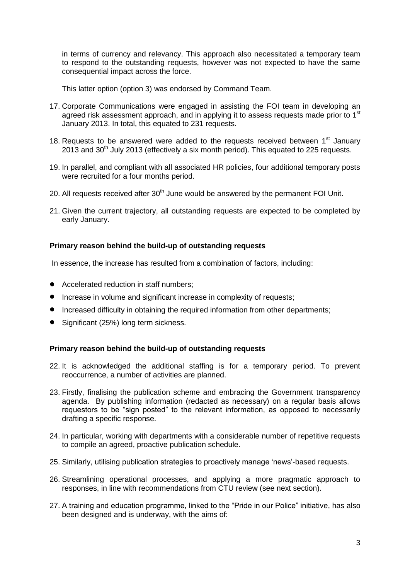in terms of currency and relevancy. This approach also necessitated a temporary team to respond to the outstanding requests, however was not expected to have the same consequential impact across the force.

This latter option (option 3) was endorsed by Command Team.

- 17. Corporate Communications were engaged in assisting the FOI team in developing an agreed risk assessment approach, and in applying it to assess requests made prior to 1<sup>st</sup> January 2013. In total, this equated to 231 requests.
- 18. Requests to be answered were added to the requests received between  $1<sup>st</sup>$  January  $2013$  and  $30<sup>th</sup>$  July 2013 (effectively a six month period). This equated to 225 requests.
- 19. In parallel, and compliant with all associated HR policies, four additional temporary posts were recruited for a four months period.
- 20. All requests received after  $30<sup>th</sup>$  June would be answered by the permanent FOI Unit.
- 21. Given the current trajectory, all outstanding requests are expected to be completed by early January.

#### **Primary reason behind the build-up of outstanding requests**

In essence, the increase has resulted from a combination of factors, including:

- Accelerated reduction in staff numbers:
- Increase in volume and significant increase in complexity of requests;
- Increased difficulty in obtaining the required information from other departments;
- Significant (25%) long term sickness.

#### **Primary reason behind the build-up of outstanding requests**

- 22. It is acknowledged the additional staffing is for a temporary period. To prevent reoccurrence, a number of activities are planned.
- 23. Firstly, finalising the publication scheme and embracing the Government transparency agenda. By publishing information (redacted as necessary) on a regular basis allows requestors to be "sign posted" to the relevant information, as opposed to necessarily drafting a specific response.
- 24. In particular, working with departments with a considerable number of repetitive requests to compile an agreed, proactive publication schedule.
- 25. Similarly, utilising publication strategies to proactively manage 'news'-based requests.
- 26. Streamlining operational processes, and applying a more pragmatic approach to responses, in line with recommendations from CTU review (see next section).
- 27. A training and education programme, linked to the "Pride in our Police" initiative, has also been designed and is underway, with the aims of: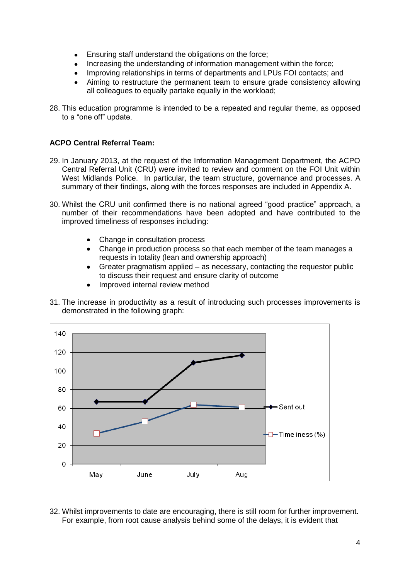- Ensuring staff understand the obligations on the force;
- Increasing the understanding of information management within the force;
- Improving relationships in terms of departments and LPUs FOI contacts; and
- Aiming to restructure the permanent team to ensure grade consistency allowing all colleagues to equally partake equally in the workload;
- 28. This education programme is intended to be a repeated and regular theme, as opposed to a "one off" update.

#### **ACPO Central Referral Team:**

- 29. In January 2013, at the request of the Information Management Department, the ACPO Central Referral Unit (CRU) were invited to review and comment on the FOI Unit within West Midlands Police. In particular, the team structure, governance and processes. A summary of their findings, along with the forces responses are included in Appendix A.
- 30. Whilst the CRU unit confirmed there is no national agreed "good practice" approach, a number of their recommendations have been adopted and have contributed to the improved timeliness of responses including:
	- Change in consultation process
	- Change in production process so that each member of the team manages a requests in totality (lean and ownership approach)
	- Greater pragmatism applied as necessary, contacting the requestor public to discuss their request and ensure clarity of outcome
	- Improved internal review method
- 31. The increase in productivity as a result of introducing such processes improvements is demonstrated in the following graph:



32. Whilst improvements to date are encouraging, there is still room for further improvement. For example, from root cause analysis behind some of the delays, it is evident that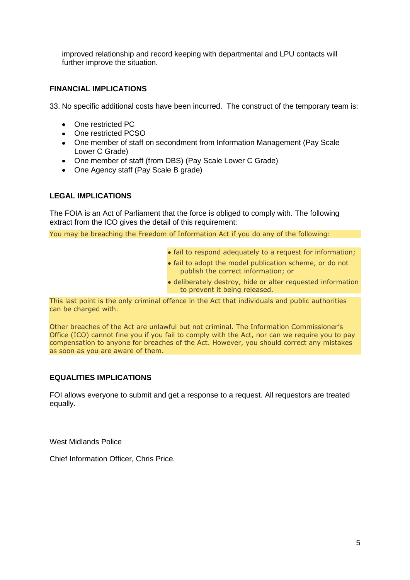improved relationship and record keeping with departmental and LPU contacts will further improve the situation.

#### **FINANCIAL IMPLICATIONS**

33. No specific additional costs have been incurred. The construct of the temporary team is:

- One restricted PC
- One restricted PCSO
- One member of staff on secondment from Information Management (Pay Scale Lower C Grade)
- One member of staff (from DBS) (Pay Scale Lower C Grade)
- One Agency staff (Pay Scale B grade)

#### **LEGAL IMPLICATIONS**

The FOIA is an Act of Parliament that the force is obliged to comply with. The following extract from the ICO gives the detail of this requirement:

You may be breaching the Freedom of Information Act if you do any of the following:

- fail to respond adequately to a request for information;
- fail to adopt the model publication scheme, or do not publish the correct information; or
- deliberately destroy, hide or alter requested information to prevent it being released.

This last point is the only criminal offence in the Act that individuals and public authorities can be charged with.

Other breaches of the Act are unlawful but not criminal. The Information Commissioner's Office (ICO) cannot fine you if you fail to comply with the Act, nor can we require you to pay compensation to anyone for breaches of the Act. However, you should correct any mistakes as soon as you are aware of them.

#### **EQUALITIES IMPLICATIONS**

FOI allows everyone to submit and get a response to a request. All requestors are treated equally.

West Midlands Police

Chief Information Officer, Chris Price.